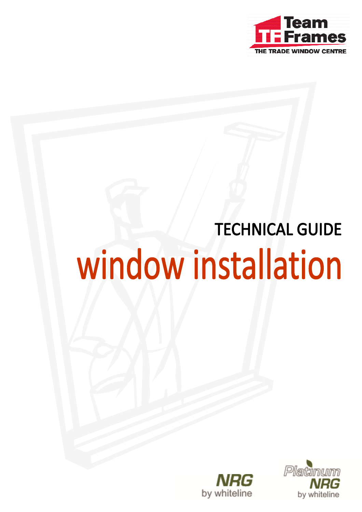

# **TECHNICAL GUIDE** window installation



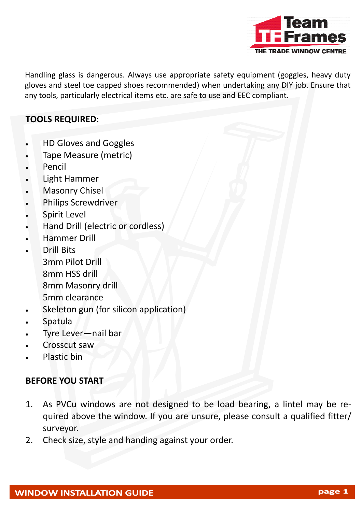

Handling glass is dangerous. Always use appropriate safety equipment (goggles, heavy duty gloves and steel toe capped shoes recommended) when undertaking any DIY job. Ensure that any tools, particularly electrical items etc. are safe to use and EEC compliant.

#### **TOOLS REQUIRED:**

- HD Gloves and Goggles
- Tape Measure (metric)
- Pencil
- Light Hammer
- Masonry Chisel
- Philips Screwdriver
- Spirit Level
- Hand Drill (electric or cordless)
- Hammer Drill
- Drill Bits 3mm Pilot Drill 8mm HSS drill 8mm Masonry drill 5mm clearance
- Skeleton gun (for silicon application)
- Spatula
- Tyre Lever—nail bar
- Crosscut saw
- Plastic bin

#### **BEFORE YOU START**

- 1. As PVCu windows are not designed to be load bearing, a lintel may be re‐ quired above the window. If you are unsure, please consult a qualified fitter/ surveyor.
- 2. Check size, style and handing against your order.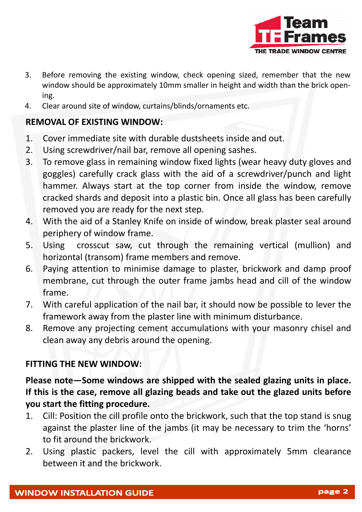

- 3. Before removing the existing window, check opening sized, remember that the new window should be approximately 10mm smaller in height and width than the brick open‐ ing.
- 4. Clear around site of window, curtains/blinds/ornaments etc.

### **REMOVAL OF EXISTING WINDOW:**

- 1. Cover immediate site with durable dustsheets inside and out.
- 2. Using screwdriver/nail bar, remove all opening sashes.
- 3. To remove glass in remaining window fixed lights (wear heavy duty gloves and goggles) carefully crack glass with the aid of a screwdriver/punch and light hammer. Always start at the top corner from inside the window, remove cracked shards and deposit into a plastic bin. Once all glass has been carefully removed you are ready for the next step.
- 4. With the aid of a Stanley Knife on inside of window, break plaster seal around periphery of window frame.
- 5. Using crosscut saw, cut through the remaining vertical (mullion) and horizontal (transom) frame members and remove.
- 6. Paying attention to minimise damage to plaster, brickwork and damp proof membrane, cut through the outer frame jambs head and cill of the window frame.
- 7. With careful application of the nail bar, it should now be possible to lever the framework away from the plaster line with minimum disturbance.
- 8. Remove any projecting cement accumulations with your masonry chisel and clean away any debris around the opening.

## **FITTING THE NEW WINDOW:**

**Please note—Some windows are shipped with the sealed glazing units in place. If this is the case, remove all glazing beads and take out the glazed units before you start the fitting procedure.**

- 1. Cill: Position the cill profile onto the brickwork, such that the top stand is snug against the plaster line of the jambs (it may be necessary to trim the 'horns' to fit around the brickwork.
- 2. Using plastic packers, level the cill with approximately 5mm clearance between it and the brickwork.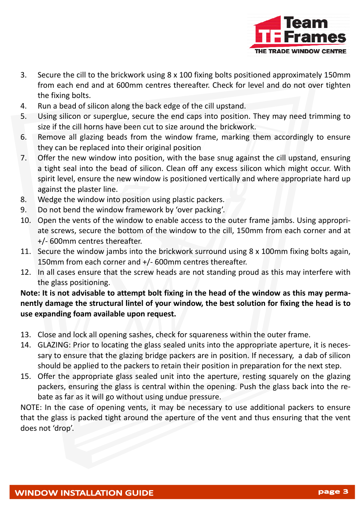

- 3. Secure the cill to the brickwork using 8 x 100 fixing bolts positioned approximately 150mm from each end and at 600mm centres thereafter. Check for level and do not over tighten the fixing bolts.
- 4. Run a bead of silicon along the back edge of the cill upstand.
- 5. Using silicon or superglue, secure the end caps into position. They may need trimming to size if the cill horns have been cut to size around the brickwork.
- 6. Remove all glazing beads from the window frame, marking them accordingly to ensure they can be replaced into their original position
- 7. Offer the new window into position, with the base snug against the cill upstand, ensuring a tight seal into the bead of silicon. Clean off any excess silicon which might occur. With spirit level, ensure the new window is positioned vertically and where appropriate hard up against the plaster line.
- 8. Wedge the window into position using plastic packers.
- 9. Do not bend the window framework by 'over packing'.
- 10. Open the vents of the window to enable access to the outer frame jambs. Using appropriate screws, secure the bottom of the window to the cill, 150mm from each corner and at +/‐ 600mm centres thereafter.
- 11. Secure the window jambs into the brickwork surround using 8 x 100mm fixing bolts again, 150mm from each corner and +/‐ 600mm centres thereafter.
- 12. In all cases ensure that the screw heads are not standing proud as this may interfere with the glass positioning.

Note: It is not advisable to attempt bolt fixing in the head of the window as this may perma**nently damage the structural lintel of your window, the best solution for fixing the head is to use expanding foam available upon request.**

- 13. Close and lock all opening sashes, check for squareness within the outer frame.
- 14. GLAZING: Prior to locating the glass sealed units into the appropriate aperture, it is necessary to ensure that the glazing bridge packers are in position. If necessary, a dab of silicon should be applied to the packers to retain their position in preparation for the next step.
- 15. Offer the appropriate glass sealed unit into the aperture, resting squarely on the glazing packers, ensuring the glass is central within the opening. Push the glass back into the re‐ bate as far as it will go without using undue pressure.

NOTE: In the case of opening vents, it may be necessary to use additional packers to ensure that the glass is packed tight around the aperture of the vent and thus ensuring that the vent does not 'drop'.